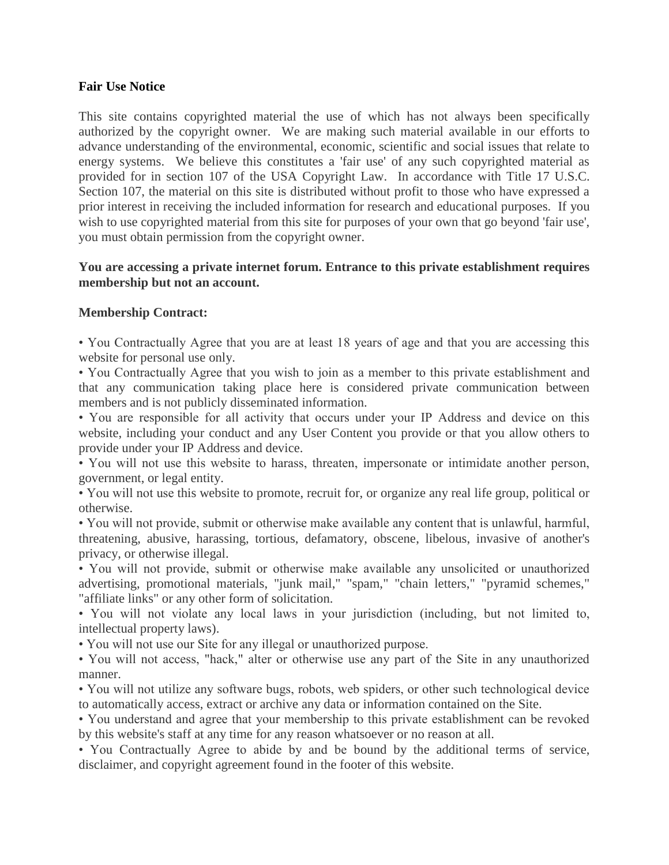## **Fair Use Notice**

This site contains copyrighted material the use of which has not always been specifically authorized by the copyright owner. We are making such material available in our efforts to advance understanding of the environmental, economic, scientific and social issues that relate to energy systems. We believe this constitutes a 'fair use' of any such copyrighted material as provided for in section 107 of the USA Copyright Law. In accordance with Title 17 U.S.C. Section 107, the material on this site is distributed without profit to those who have expressed a prior interest in receiving the included information for research and educational purposes. If you wish to use copyrighted material from this site for purposes of your own that go beyond 'fair use', you must obtain permission from the copyright owner.

## **You are accessing a private internet forum. Entrance to this private establishment requires membership but not an account.**

## **Membership Contract:**

• You Contractually Agree that you are at least 18 years of age and that you are accessing this website for personal use only.

• You Contractually Agree that you wish to join as a member to this private establishment and that any communication taking place here is considered private communication between members and is not publicly disseminated information.

• You are responsible for all activity that occurs under your IP Address and device on this website, including your conduct and any User Content you provide or that you allow others to provide under your IP Address and device.

• You will not use this website to harass, threaten, impersonate or intimidate another person, government, or legal entity.

• You will not use this website to promote, recruit for, or organize any real life group, political or otherwise.

• You will not provide, submit or otherwise make available any content that is unlawful, harmful, threatening, abusive, harassing, tortious, defamatory, obscene, libelous, invasive of another's privacy, or otherwise illegal.

• You will not provide, submit or otherwise make available any unsolicited or unauthorized advertising, promotional materials, "junk mail," "spam," "chain letters," "pyramid schemes," "affiliate links" or any other form of solicitation.

• You will not violate any local laws in your jurisdiction (including, but not limited to, intellectual property laws).

• You will not use our Site for any illegal or unauthorized purpose.

• You will not access, "hack," alter or otherwise use any part of the Site in any unauthorized manner.

• You will not utilize any software bugs, robots, web spiders, or other such technological device to automatically access, extract or archive any data or information contained on the Site.

• You understand and agree that your membership to this private establishment can be revoked by this website's staff at any time for any reason whatsoever or no reason at all.

• You Contractually Agree to abide by and be bound by the additional terms of service, disclaimer, and copyright agreement found in the footer of this website.